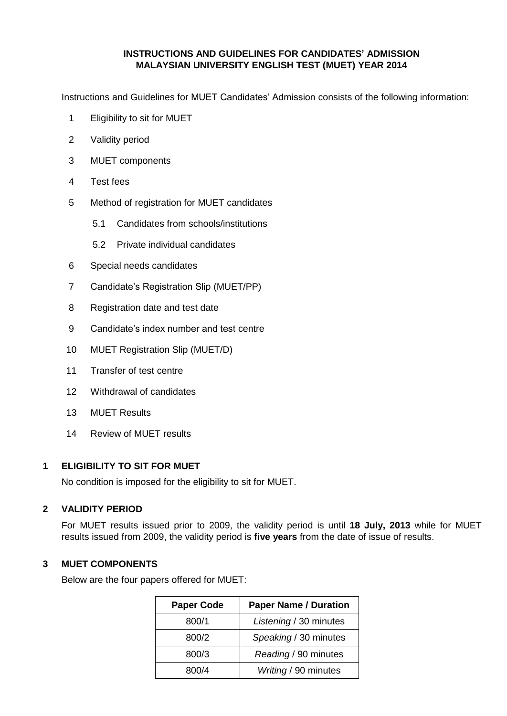### **INSTRUCTIONS AND GUIDELINES FOR CANDIDATES' ADMISSION MALAYSIAN UNIVERSITY ENGLISH TEST (MUET) YEAR 2014**

Instructions and Guidelines for MUET Candidates' Admission consists of the following information:

- 1 Eligibility to sit for MUET
- 2 Validity period
- 3 MUET components
- 4 Test fees
- 5 Method of registration for MUET candidates
	- 5.1 Candidates from schools/institutions
	- 5.2 Private individual candidates
- 6 Special needs candidates
- 7 Candidate's Registration Slip (MUET/PP)
- 8 Registration date and test date
- 9 Candidate's index number and test centre
- 10 MUET Registration Slip (MUET/D)
- 11 Transfer of test centre
- 12 Withdrawal of candidates
- 13 MUET Results
- 14 Review of MUET results

#### **1 ELIGIBILITY TO SIT FOR MUET**

No condition is imposed for the eligibility to sit for MUET.

# **2 VALIDITY PERIOD**

For MUET results issued prior to 2009, the validity period is until **18 July, 2013** while for MUET results issued from 2009, the validity period is **five years** from the date of issue of results.

### **3 MUET COMPONENTS**

Below are the four papers offered for MUET:

| <b>Paper Code</b> | <b>Paper Name / Duration</b> |
|-------------------|------------------------------|
| 800/1             | Listening / 30 minutes       |
| 800/2             | Speaking / 30 minutes        |
| 800/3             | Reading / 90 minutes         |
| 800/4             | Writing / 90 minutes         |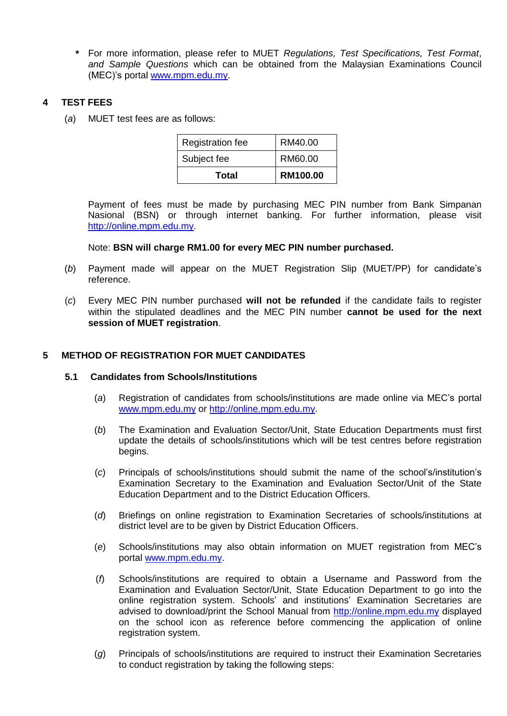**\*** For more information, please refer to MUET *Regulations, Test Specifications, Test Format*, *and Sample Questions* which can be obtained from the Malaysian Examinations Council (MEC)'s portal [www.mpm.edu.my.](http://www.mpm.edu.my/)

# **4 TEST FEES**

(*a*) MUET test fees are as follows:

| Subject fee | RM60.00  |
|-------------|----------|
| Total       | RM100.00 |

Payment of fees must be made by purchasing MEC PIN number from Bank Simpanan Nasional (BSN) or through internet banking. For further information, please visit [http://online.mpm.edu.my.](http://online.mpm.edu.my/)

#### Note: **BSN will charge RM1.00 for every MEC PIN number purchased.**

- (*b*) Payment made will appear on the MUET Registration Slip (MUET/PP) for candidate's reference.
- (*c*) Every MEC PIN number purchased **will not be refunded** if the candidate fails to register within the stipulated deadlines and the MEC PIN number **cannot be used for the next session of MUET registration**.

### **5 METHOD OF REGISTRATION FOR MUET CANDIDATES**

#### **5.1 Candidates from Schools/Institutions**

- (*a*) Registration of candidates from schools/institutions are made online via MEC's portal [www.mpm.edu.my](http://www.mpm.edu.my/) or [http://online.mpm.edu.my.](http://online.mpm.edu.my/)
- (*b*) The Examination and Evaluation Sector/Unit, State Education Departments must first update the details of schools/institutions which will be test centres before registration begins.
- (*c*) Principals of schools/institutions should submit the name of the school's/institution's Examination Secretary to the Examination and Evaluation Sector/Unit of the State Education Department and to the District Education Officers.
- (*d*) Briefings on online registration to Examination Secretaries of schools/institutions at district level are to be given by District Education Officers.
- (*e*) Schools/institutions may also obtain information on MUET registration from MEC's portal [www.mpm.edu.my.](http://www.mpm.edu.my/)
- (*f*) Schools/institutions are required to obtain a Username and Password from the Examination and Evaluation Sector/Unit, State Education Department to go into the online registration system. Schools' and institutions' Examination Secretaries are advised to download/print the School Manual from [http://online.mpm.edu.my](http://online.mpm.edu.my/) displayed on the school icon as reference before commencing the application of online registration system.
- (*g*) Principals of schools/institutions are required to instruct their Examination Secretaries to conduct registration by taking the following steps: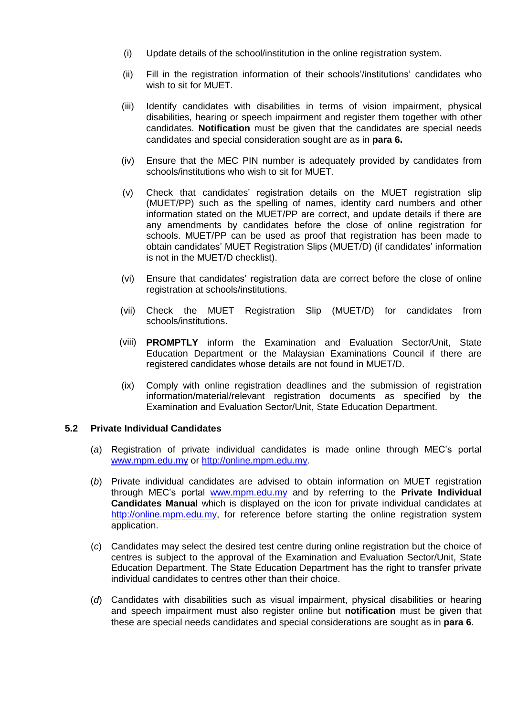- (i) Update details of the school/institution in the online registration system.
- (ii) Fill in the registration information of their schools'/institutions' candidates who wish to sit for MUET.
- (iii) Identify candidates with disabilities in terms of vision impairment, physical disabilities, hearing or speech impairment and register them together with other candidates. **Notification** must be given that the candidates are special needs candidates and special consideration sought are as in **para 6.**
- (iv) Ensure that the MEC PIN number is adequately provided by candidates from schools/institutions who wish to sit for MUET.
- (v) Check that candidates' registration details on the MUET registration slip (MUET/PP) such as the spelling of names, identity card numbers and other information stated on the MUET/PP are correct, and update details if there are any amendments by candidates before the close of online registration for schools. MUET/PP can be used as proof that registration has been made to obtain candidates' MUET Registration Slips (MUET/D) (if candidates' information is not in the MUET/D checklist).
- (vi) Ensure that candidates' registration data are correct before the close of online registration at schools/institutions.
- (vii) Check the MUET Registration Slip (MUET/D) for candidates from schools/institutions.
- (viii) **PROMPTLY** inform the Examination and Evaluation Sector/Unit, State Education Department or the Malaysian Examinations Council if there are registered candidates whose details are not found in MUET/D.
- (ix) Comply with online registration deadlines and the submission of registration information/material/relevant registration documents as specified by the Examination and Evaluation Sector/Unit, State Education Department.

# **5.2 Private Individual Candidates**

- (*a*) Registration of private individual candidates is made online through MEC's portal [www.mpm.edu.my](http://www.mpm.edu.my/) or [http://online.mpm.edu.my.](http://online.mpm.edu.my/)
- (*b*) Private individual candidates are advised to obtain information on MUET registration through MEC's portal [www.mpm.edu.my](http://www.mpm.edu.my/) and by referring to the **Private Individual Candidates Manual** which is displayed on the icon for private individual candidates at [http://online.mpm.edu.my,](http://online.mpm.edu.my/) for reference before starting the online registration system application.
- (*c*) Candidates may select the desired test centre during online registration but the choice of centres is subject to the approval of the Examination and Evaluation Sector/Unit, State Education Department. The State Education Department has the right to transfer private individual candidates to centres other than their choice.
- (*d*) Candidates with disabilities such as visual impairment, physical disabilities or hearing and speech impairment must also register online but **notification** must be given that these are special needs candidates and special considerations are sought as in **para 6**.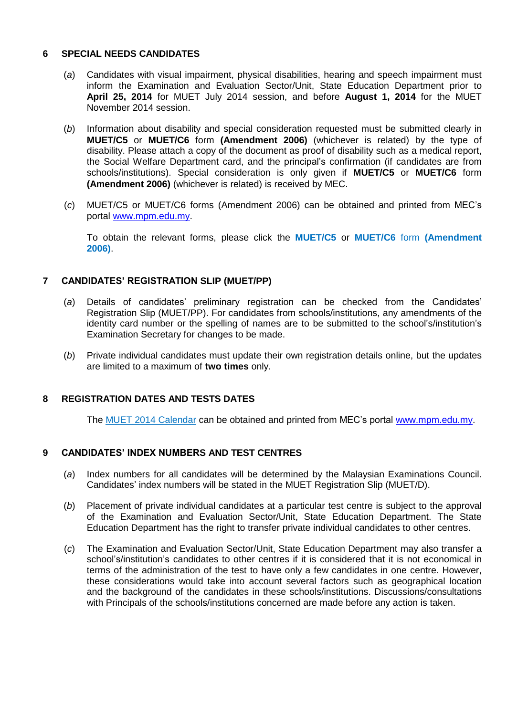### **6 SPECIAL NEEDS CANDIDATES**

- (*a*) Candidates with visual impairment, physical disabilities, hearing and speech impairment must inform the Examination and Evaluation Sector/Unit, State Education Department prior to **April 25, 2014** for MUET July 2014 session, and before **August 1, 2014** for the MUET November 2014 session.
- (*b*) Information about disability and special consideration requested must be submitted clearly in **MUET/C5** or **MUET/C6** form **(Amendment 2006)** (whichever is related) by the type of disability. Please attach a copy of the document as proof of disability such as a medical report, the Social Welfare Department card, and the principal's confirmation (if candidates are from schools/institutions). Special consideration is only given if **MUET/C5** or **MUET/C6** form **(Amendment 2006)** (whichever is related) is received by MEC.
- (*c*) MUET/C5 or MUET/C6 forms (Amendment 2006) can be obtained and printed from MEC's portal [www.mpm.edu.my.](http://www.mpm.edu.my/)

To obtain the relevant forms, please click the **MUET/C5** or **MUET/C6** form **(Amendment 2006)**.

#### **7 CANDIDATES' REGISTRATION SLIP (MUET/PP)**

- (*a*) Details of candidates' preliminary registration can be checked from the Candidates' Registration Slip (MUET/PP). For candidates from schools/institutions, any amendments of the identity card number or the spelling of names are to be submitted to the school's/institution's Examination Secretary for changes to be made.
- (*b*) Private individual candidates must update their own registration details online, but the updates are limited to a maximum of **two times** only.

#### **8 REGISTRATION DATES AND TESTS DATES**

The MUET 2014 Calendar can be obtained and printed from MEC's portal [www.mpm.edu.my.](http://www.mpm.edu.my/)

#### **9 CANDIDATES' INDEX NUMBERS AND TEST CENTRES**

- (*a*) Index numbers for all candidates will be determined by the Malaysian Examinations Council. Candidates' index numbers will be stated in the MUET Registration Slip (MUET/D).
- (*b*) Placement of private individual candidates at a particular test centre is subject to the approval of the Examination and Evaluation Sector/Unit, State Education Department. The State Education Department has the right to transfer private individual candidates to other centres.
- (*c*) The Examination and Evaluation Sector/Unit, State Education Department may also transfer a school's/institution's candidates to other centres if it is considered that it is not economical in terms of the administration of the test to have only a few candidates in one centre. However, these considerations would take into account several factors such as geographical location and the background of the candidates in these schools/institutions. Discussions/consultations with Principals of the schools/institutions concerned are made before any action is taken.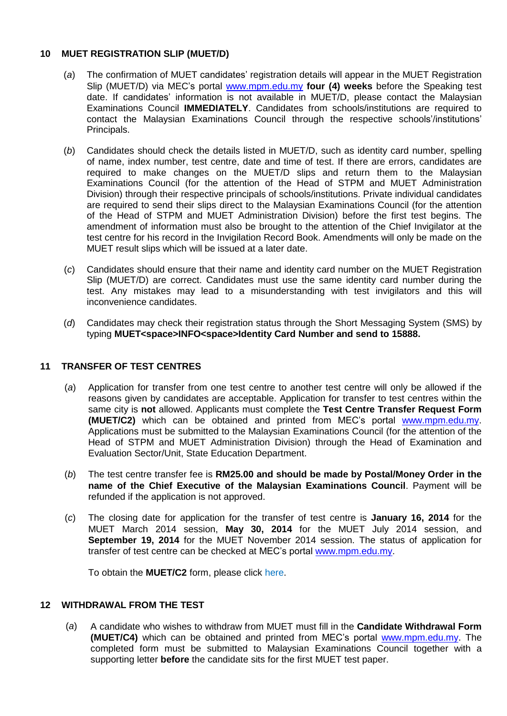# **10 MUET REGISTRATION SLIP (MUET/D)**

- (*a*) The confirmation of MUET candidates' registration details will appear in the MUET Registration Slip (MUET/D) via MEC's portal [www.mpm.edu.my](http://www.mpm.edu.my/) **four (4) weeks** before the Speaking test date. If candidates' information is not available in MUET/D, please contact the Malaysian Examinations Council **IMMEDIATELY**. Candidates from schools/institutions are required to contact the Malaysian Examinations Council through the respective schools'/institutions' Principals.
- (*b*) Candidates should check the details listed in MUET/D, such as identity card number, spelling of name, index number, test centre, date and time of test. If there are errors, candidates are required to make changes on the MUET/D slips and return them to the Malaysian Examinations Council (for the attention of the Head of STPM and MUET Administration Division) through their respective principals of schools/institutions. Private individual candidates are required to send their slips direct to the Malaysian Examinations Council (for the attention of the Head of STPM and MUET Administration Division) before the first test begins. The amendment of information must also be brought to the attention of the Chief Invigilator at the test centre for his record in the Invigilation Record Book. Amendments will only be made on the MUET result slips which will be issued at a later date.
- (*c*) Candidates should ensure that their name and identity card number on the MUET Registration Slip (MUET/D) are correct. Candidates must use the same identity card number during the test. Any mistakes may lead to a misunderstanding with test invigilators and this will inconvenience candidates.
- (*d*) Candidates may check their registration status through the Short Messaging System (SMS) by typing **MUET<space>INFO<space>Identity Card Number and send to 15888.**

# **11 TRANSFER OF TEST CENTRES**

- (*a*) Application for transfer from one test centre to another test centre will only be allowed if the reasons given by candidates are acceptable. Application for transfer to test centres within the same city is **not** allowed. Applicants must complete the **Test Centre Transfer Request Form (MUET/C2)** which can be obtained and printed from MEC's portal [www.mpm.edu.my.](http://www.mpm.edu.my/) Applications must be submitted to the Malaysian Examinations Council (for the attention of the Head of STPM and MUET Administration Division) through the Head of Examination and Evaluation Sector/Unit, State Education Department.
- (*b*) The test centre transfer fee is **RM25.00 and should be made by Postal/Money Order in the name of the Chief Executive of the Malaysian Examinations Council**. Payment will be refunded if the application is not approved.
- (*c*) The closing date for application for the transfer of test centre is **January 16, 2014** for the MUET March 2014 session, **May 30, 2014** for the MUET July 2014 session, and **September 19, 2014** for the MUET November 2014 session. The status of application for transfer of test centre can be checked at MEC's portal [www.mpm.edu.my.](http://www.mpm.edu.my/)

To obtain the **MUET/C2** form, please click here.

# **12 WITHDRAWAL FROM THE TEST**

(*a*) A candidate who wishes to withdraw from MUET must fill in the **Candidate Withdrawal Form (MUET/C4)** which can be obtained and printed from MEC's portal [www.mpm.edu.my.](http://www.mpm.edu.my/) The completed form must be submitted to Malaysian Examinations Council together with a supporting letter **before** the candidate sits for the first MUET test paper.